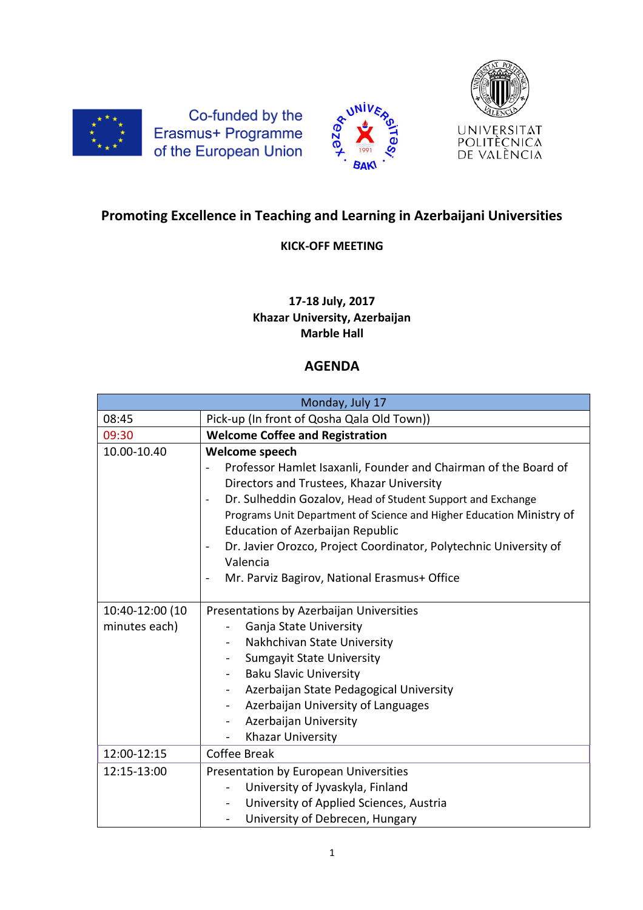

Co-funded by the Erasmus+ Programme of the European Union





## **Promoting Excellence in Teaching and Learning in Azerbaijani Universities**

## **KICK-OFF MEETING**

## **17-18 July, 2017 Khazar University, Azerbaijan Marble Hall**

## **AGENDA**

| Monday, July 17 |                                                                                                          |
|-----------------|----------------------------------------------------------------------------------------------------------|
| 08:45           | Pick-up (In front of Qosha Qala Old Town))                                                               |
| 09:30           | <b>Welcome Coffee and Registration</b>                                                                   |
| 10.00-10.40     | Welcome speech                                                                                           |
|                 | Professor Hamlet Isaxanli, Founder and Chairman of the Board of                                          |
|                 | Directors and Trustees, Khazar University                                                                |
|                 | Dr. Sulheddin Gozalov, Head of Student Support and Exchange                                              |
|                 | Programs Unit Department of Science and Higher Education Ministry of<br>Education of Azerbaijan Republic |
|                 | Dr. Javier Orozco, Project Coordinator, Polytechnic University of                                        |
|                 | Valencia                                                                                                 |
|                 | Mr. Parviz Bagirov, National Erasmus+ Office<br>$\blacksquare$                                           |
|                 |                                                                                                          |
| 10:40-12:00 (10 | Presentations by Azerbaijan Universities                                                                 |
| minutes each)   | Ganja State University                                                                                   |
|                 | Nakhchivan State University<br>$\blacksquare$                                                            |
|                 | <b>Sumgayit State University</b><br>۰                                                                    |
|                 | <b>Baku Slavic University</b><br>$\overline{\phantom{0}}$                                                |
|                 | Azerbaijan State Pedagogical University<br>$\blacksquare$                                                |
|                 | Azerbaijan University of Languages<br>$\blacksquare$                                                     |
|                 | Azerbaijan University                                                                                    |
|                 | Khazar University<br>÷,                                                                                  |
| 12:00-12:15     | Coffee Break                                                                                             |
| 12:15-13:00     | Presentation by European Universities                                                                    |
|                 | University of Jyvaskyla, Finland                                                                         |
|                 | University of Applied Sciences, Austria<br>$\blacksquare$                                                |
|                 | University of Debrecen, Hungary<br>Ξ.                                                                    |